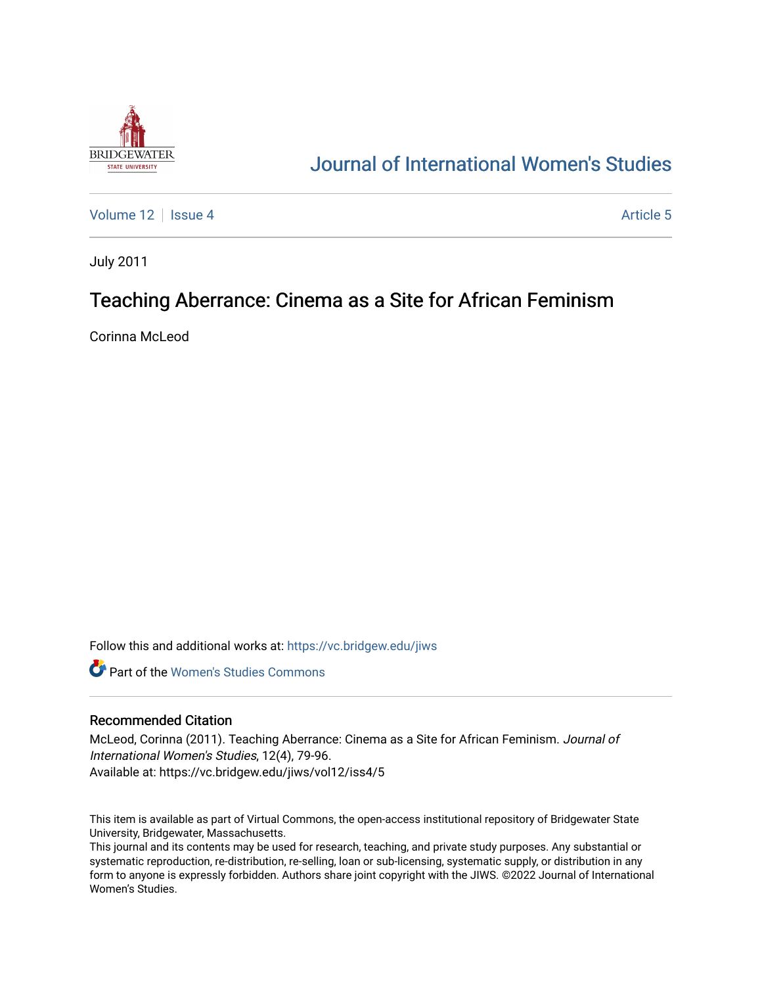

## [Journal of International Women's Studies](https://vc.bridgew.edu/jiws)

[Volume 12](https://vc.bridgew.edu/jiws/vol12) Setup 4 [Article 5](https://vc.bridgew.edu/jiws/vol12/iss4/5) Article 5 Article 5 Article 5 Article 5

July 2011

# Teaching Aberrance: Cinema as a Site for African Feminism

Corinna McLeod

Follow this and additional works at: [https://vc.bridgew.edu/jiws](https://vc.bridgew.edu/jiws?utm_source=vc.bridgew.edu%2Fjiws%2Fvol12%2Fiss4%2F5&utm_medium=PDF&utm_campaign=PDFCoverPages)

**C** Part of the Women's Studies Commons

#### Recommended Citation

McLeod, Corinna (2011). Teaching Aberrance: Cinema as a Site for African Feminism. Journal of International Women's Studies, 12(4), 79-96. Available at: https://vc.bridgew.edu/jiws/vol12/iss4/5

This item is available as part of Virtual Commons, the open-access institutional repository of Bridgewater State University, Bridgewater, Massachusetts.

This journal and its contents may be used for research, teaching, and private study purposes. Any substantial or systematic reproduction, re-distribution, re-selling, loan or sub-licensing, systematic supply, or distribution in any form to anyone is expressly forbidden. Authors share joint copyright with the JIWS. ©2022 Journal of International Women's Studies.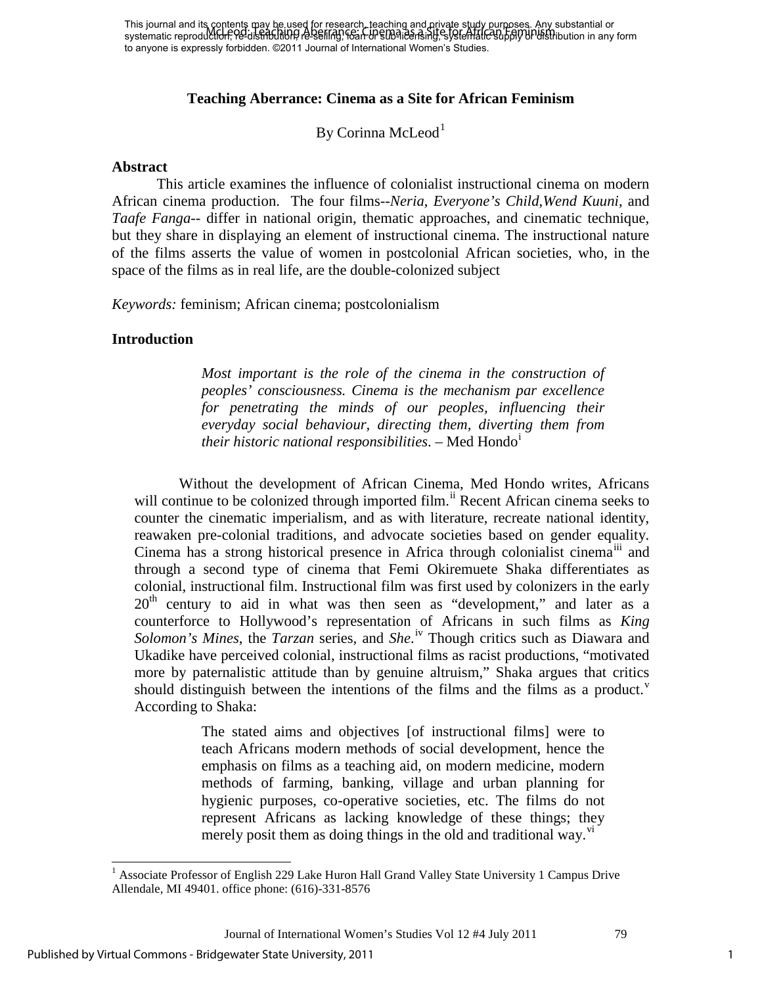## **Teaching Aberrance: Cinema as a Site for African Feminism**

By Corinna McLeod<sup>[1](#page-1-0)</sup>

#### **Abstract**

This article examines the influence of colonialist instructional cinema on modern African cinema production. The four films--*Neria*, *Everyone's Child*,*Wend Kuuni*, and *Taafe Fanga--* differ in national origin, thematic approaches, and cinematic technique, but they share in displaying an element of instructional cinema. The instructional nature of the films asserts the value of women in postcolonial African societies, who, in the space of the films as in real life, are the double-colonized subject

*Keywords:* feminism; African cinema; postcolonialism

#### **Introduction**

*Most important is the role of the cinema in the construction of peoples' consciousness. Cinema is the mechanism par excellence*  for penetrating the minds of our peoples, influencing their *everyday social behaviour, directing them, diverting them from their historic national responsibilities*. – Med Hondo[i](#page-16-0)

Without the development of African Cinema, Med Hondo writes, Africans will continue to be colonized through imported film.<sup>[ii](#page-16-1)</sup> Recent African cinema seeks to counter the cinematic imperialism, and as with literature, recreate national identity, reawaken pre-colonial traditions, and advocate societies based on gender equality. Cinema has a strong historical presence in Africa through colonialist cinema<sup>[iii](#page-16-2)</sup> and through a second type of cinema that Femi Okiremuete Shaka differentiates as colonial, instructional film. Instructional film was first used by colonizers in the early  $20<sup>th</sup>$  century to aid in what was then seen as "development," and later as a counterforce to Hollywood's representation of Africans in such films as *King Solomon's Mines*, the *Tarzan* series, and *She*. [iv](#page-16-3) Though critics such as Diawara and Ukadike have perceived colonial, instructional films as racist productions, "motivated more by paternalistic attitude than by genuine altruism," Shaka argues that critics should distinguish between the intentions of the films and the films as a product. According to Shaka:

> The stated aims and objectives [of instructional films] were to teach Africans modern methods of social development, hence the emphasis on films as a teaching aid, on modern medicine, modern methods of farming, banking, village and urban planning for hygienic purposes, co-operative societies, etc. The films do not represent Africans as lacking knowledge of these things; they merely posit them as doing things in the old and traditional way. $\mathbf{v}_1$

 $\overline{a}$ 

<span id="page-1-0"></span> $1$  Associate Professor of English 229 Lake Huron Hall Grand Valley State University 1 Campus Drive Allendale, MI 49401. office phone: (616)-331-8576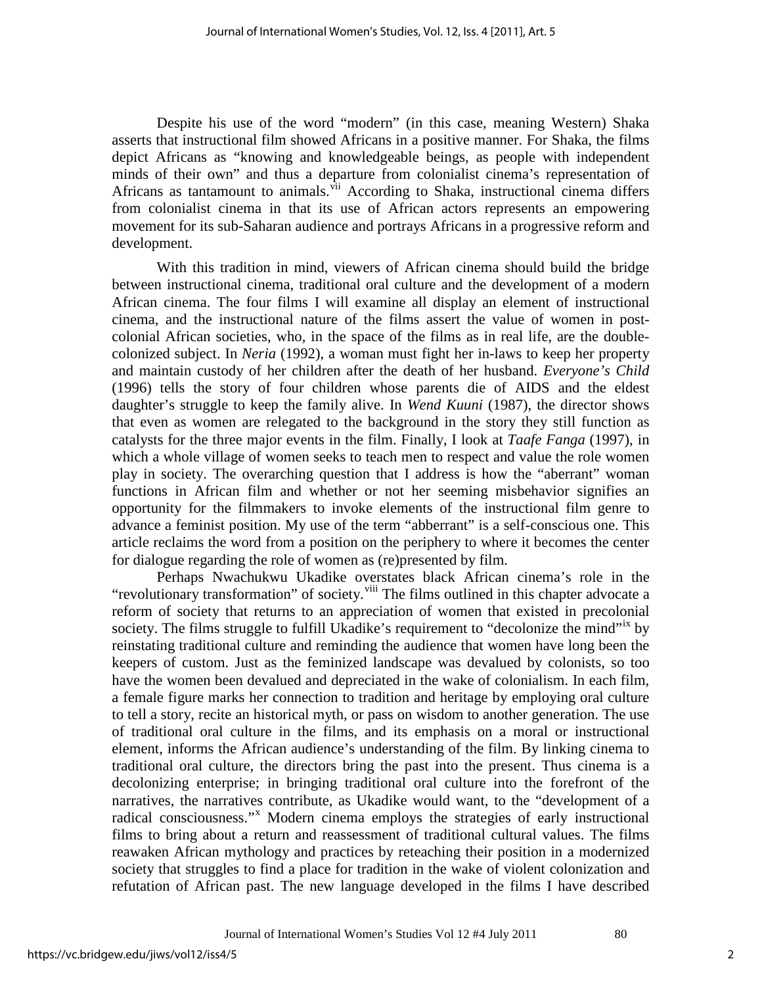Despite his use of the word "modern" (in this case, meaning Western) Shaka asserts that instructional film showed Africans in a positive manner. For Shaka, the films depict Africans as "knowing and knowledgeable beings, as people with independent minds of their own" and thus a departure from colonialist cinema's representation of Africans as tantamount to animals.<sup>[vii](#page-17-0)</sup> According to Shaka, instructional cinema differs from colonialist cinema in that its use of African actors represents an empowering movement for its sub-Saharan audience and portrays Africans in a progressive reform and development.

With this tradition in mind, viewers of African cinema should build the bridge between instructional cinema, traditional oral culture and the development of a modern African cinema. The four films I will examine all display an element of instructional cinema, and the instructional nature of the films assert the value of women in postcolonial African societies, who, in the space of the films as in real life, are the doublecolonized subject. In *Neria* (1992), a woman must fight her in-laws to keep her property and maintain custody of her children after the death of her husband. *Everyone's Child* (1996) tells the story of four children whose parents die of AIDS and the eldest daughter's struggle to keep the family alive. In *Wend Kuuni* (1987), the director shows that even as women are relegated to the background in the story they still function as catalysts for the three major events in the film. Finally, I look at *Taafe Fanga* (1997), in which a whole village of women seeks to teach men to respect and value the role women play in society. The overarching question that I address is how the "aberrant" woman functions in African film and whether or not her seeming misbehavior signifies an opportunity for the filmmakers to invoke elements of the instructional film genre to advance a feminist position. My use of the term "abberrant" is a self-conscious one. This article reclaims the word from a position on the periphery to where it becomes the center for dialogue regarding the role of women as (re)presented by film.

Perhaps Nwachukwu Ukadike overstates black African cinema's role in the "revolutionary transformation" of society. <sup>[viii](#page-17-1)</sup> The films outlined in this chapter advocate a reform of society that returns to an appreciation of women that existed in precolonial society. The films struggle to fulfill Ukadike's requirement to "decolonize the mind"<sup>1X</sup> by reinstating traditional culture and reminding the audience that women have long been the keepers of custom. Just as the feminized landscape was devalued by colonists, so too have the women been devalued and depreciated in the wake of colonialism. In each film, a female figure marks her connection to tradition and heritage by employing oral culture to tell a story, recite an historical myth, or pass on wisdom to another generation. The use of traditional oral culture in the films, and its emphasis on a moral or instructional element, informs the African audience's understanding of the film. By linking cinema to traditional oral culture, the directors bring the past into the present. Thus cinema is a decolonizing enterprise; in bringing traditional oral culture into the forefront of the narratives, the narratives contribute, as Ukadike would want, to the "development of a radical consciousness."<sup>[x](#page-17-3)</sup> Modern cinema employs the strategies of early instructional films to bring about a return and reassessment of traditional cultural values. The films reawaken African mythology and practices by reteaching their position in a modernized society that struggles to find a place for tradition in the wake of violent colonization and refutation of African past. The new language developed in the films I have described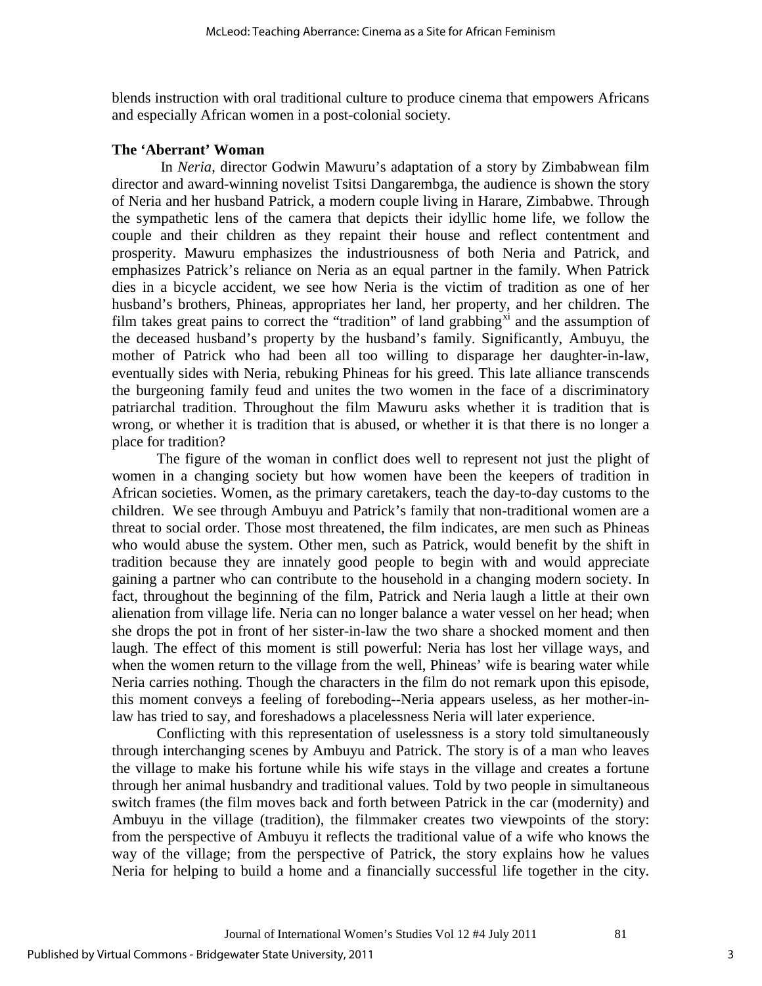blends instruction with oral traditional culture to produce cinema that empowers Africans and especially African women in a post-colonial society.

#### **The 'Aberrant' Woman**

 In *Neria*, director Godwin Mawuru's adaptation of a story by Zimbabwean film director and award-winning novelist Tsitsi Dangarembga, the audience is shown the story of Neria and her husband Patrick, a modern couple living in Harare, Zimbabwe. Through the sympathetic lens of the camera that depicts their idyllic home life, we follow the couple and their children as they repaint their house and reflect contentment and prosperity. Mawuru emphasizes the industriousness of both Neria and Patrick, and emphasizes Patrick's reliance on Neria as an equal partner in the family. When Patrick dies in a bicycle accident, we see how Neria is the victim of tradition as one of her husband's brothers, Phineas, appropriates her land, her property, and her children. The film takes great pains to correct the "tradition" of land grabbing $x_i$  and the assumption of the deceased husband's property by the husband's family. Significantly, Ambuyu, the mother of Patrick who had been all too willing to disparage her daughter-in-law, eventually sides with Neria, rebuking Phineas for his greed. This late alliance transcends the burgeoning family feud and unites the two women in the face of a discriminatory patriarchal tradition. Throughout the film Mawuru asks whether it is tradition that is wrong, or whether it is tradition that is abused, or whether it is that there is no longer a place for tradition?

The figure of the woman in conflict does well to represent not just the plight of women in a changing society but how women have been the keepers of tradition in African societies. Women, as the primary caretakers, teach the day-to-day customs to the children. We see through Ambuyu and Patrick's family that non-traditional women are a threat to social order. Those most threatened, the film indicates, are men such as Phineas who would abuse the system. Other men, such as Patrick, would benefit by the shift in tradition because they are innately good people to begin with and would appreciate gaining a partner who can contribute to the household in a changing modern society. In fact, throughout the beginning of the film, Patrick and Neria laugh a little at their own alienation from village life. Neria can no longer balance a water vessel on her head; when she drops the pot in front of her sister-in-law the two share a shocked moment and then laugh. The effect of this moment is still powerful: Neria has lost her village ways, and when the women return to the village from the well, Phineas' wife is bearing water while Neria carries nothing. Though the characters in the film do not remark upon this episode, this moment conveys a feeling of foreboding--Neria appears useless, as her mother-inlaw has tried to say, and foreshadows a placelessness Neria will later experience.

Conflicting with this representation of uselessness is a story told simultaneously through interchanging scenes by Ambuyu and Patrick. The story is of a man who leaves the village to make his fortune while his wife stays in the village and creates a fortune through her animal husbandry and traditional values. Told by two people in simultaneous switch frames (the film moves back and forth between Patrick in the car (modernity) and Ambuyu in the village (tradition), the filmmaker creates two viewpoints of the story: from the perspective of Ambuyu it reflects the traditional value of a wife who knows the way of the village; from the perspective of Patrick, the story explains how he values Neria for helping to build a home and a financially successful life together in the city.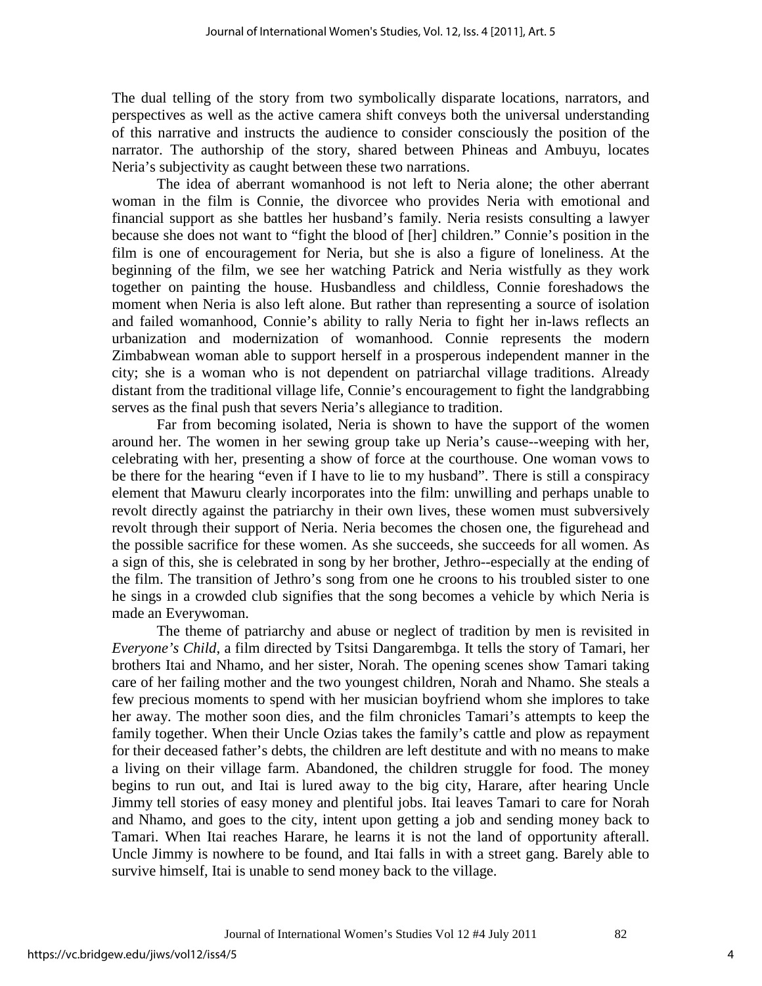The dual telling of the story from two symbolically disparate locations, narrators, and perspectives as well as the active camera shift conveys both the universal understanding of this narrative and instructs the audience to consider consciously the position of the narrator. The authorship of the story, shared between Phineas and Ambuyu, locates Neria's subjectivity as caught between these two narrations.

The idea of aberrant womanhood is not left to Neria alone; the other aberrant woman in the film is Connie, the divorcee who provides Neria with emotional and financial support as she battles her husband's family. Neria resists consulting a lawyer because she does not want to "fight the blood of [her] children." Connie's position in the film is one of encouragement for Neria, but she is also a figure of loneliness. At the beginning of the film, we see her watching Patrick and Neria wistfully as they work together on painting the house. Husbandless and childless, Connie foreshadows the moment when Neria is also left alone. But rather than representing a source of isolation and failed womanhood, Connie's ability to rally Neria to fight her in-laws reflects an urbanization and modernization of womanhood. Connie represents the modern Zimbabwean woman able to support herself in a prosperous independent manner in the city; she is a woman who is not dependent on patriarchal village traditions. Already distant from the traditional village life, Connie's encouragement to fight the landgrabbing serves as the final push that severs Neria's allegiance to tradition.

Far from becoming isolated, Neria is shown to have the support of the women around her. The women in her sewing group take up Neria's cause--weeping with her, celebrating with her, presenting a show of force at the courthouse. One woman vows to be there for the hearing "even if I have to lie to my husband". There is still a conspiracy element that Mawuru clearly incorporates into the film: unwilling and perhaps unable to revolt directly against the patriarchy in their own lives, these women must subversively revolt through their support of Neria. Neria becomes the chosen one, the figurehead and the possible sacrifice for these women. As she succeeds, she succeeds for all women. As a sign of this, she is celebrated in song by her brother, Jethro--especially at the ending of the film. The transition of Jethro's song from one he croons to his troubled sister to one he sings in a crowded club signifies that the song becomes a vehicle by which Neria is made an Everywoman.

The theme of patriarchy and abuse or neglect of tradition by men is revisited in *Everyone's Child*, a film directed by Tsitsi Dangarembga. It tells the story of Tamari, her brothers Itai and Nhamo, and her sister, Norah. The opening scenes show Tamari taking care of her failing mother and the two youngest children, Norah and Nhamo. She steals a few precious moments to spend with her musician boyfriend whom she implores to take her away. The mother soon dies, and the film chronicles Tamari's attempts to keep the family together. When their Uncle Ozias takes the family's cattle and plow as repayment for their deceased father's debts, the children are left destitute and with no means to make a living on their village farm. Abandoned, the children struggle for food. The money begins to run out, and Itai is lured away to the big city, Harare, after hearing Uncle Jimmy tell stories of easy money and plentiful jobs. Itai leaves Tamari to care for Norah and Nhamo, and goes to the city, intent upon getting a job and sending money back to Tamari. When Itai reaches Harare, he learns it is not the land of opportunity afterall. Uncle Jimmy is nowhere to be found, and Itai falls in with a street gang. Barely able to survive himself, Itai is unable to send money back to the village.

4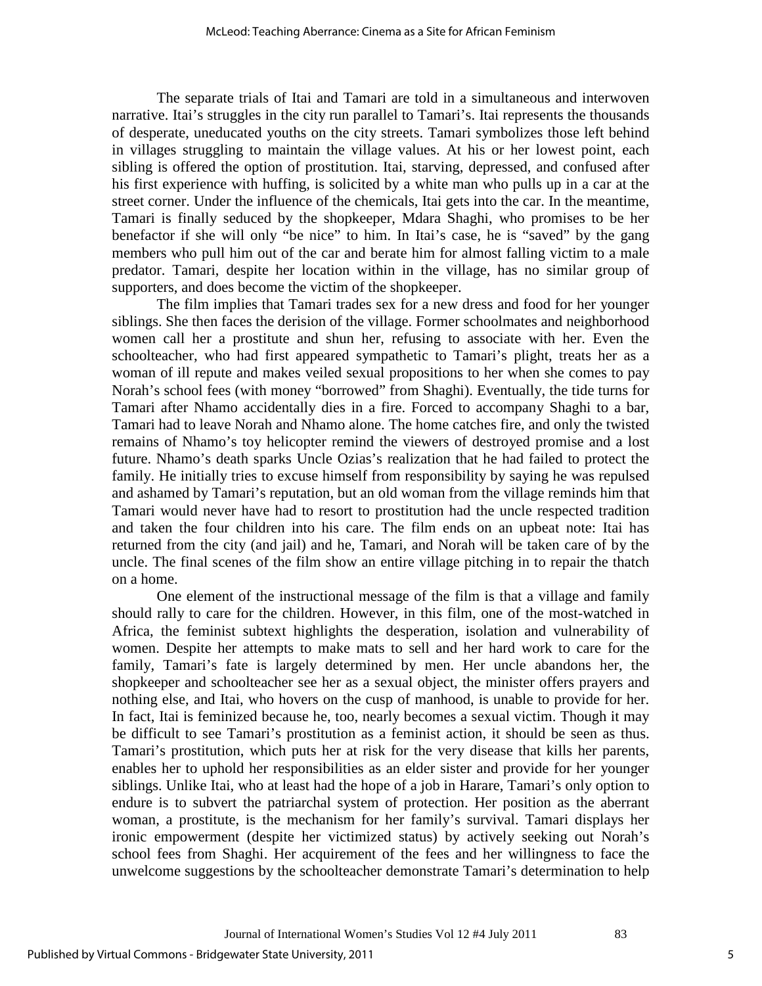The separate trials of Itai and Tamari are told in a simultaneous and interwoven narrative. Itai's struggles in the city run parallel to Tamari's. Itai represents the thousands of desperate, uneducated youths on the city streets. Tamari symbolizes those left behind in villages struggling to maintain the village values. At his or her lowest point, each sibling is offered the option of prostitution. Itai, starving, depressed, and confused after his first experience with huffing, is solicited by a white man who pulls up in a car at the street corner. Under the influence of the chemicals, Itai gets into the car. In the meantime, Tamari is finally seduced by the shopkeeper, Mdara Shaghi, who promises to be her benefactor if she will only "be nice" to him. In Itai's case, he is "saved" by the gang members who pull him out of the car and berate him for almost falling victim to a male predator. Tamari, despite her location within in the village, has no similar group of supporters, and does become the victim of the shopkeeper.

The film implies that Tamari trades sex for a new dress and food for her younger siblings. She then faces the derision of the village. Former schoolmates and neighborhood women call her a prostitute and shun her, refusing to associate with her. Even the schoolteacher, who had first appeared sympathetic to Tamari's plight, treats her as a woman of ill repute and makes veiled sexual propositions to her when she comes to pay Norah's school fees (with money "borrowed" from Shaghi). Eventually, the tide turns for Tamari after Nhamo accidentally dies in a fire. Forced to accompany Shaghi to a bar, Tamari had to leave Norah and Nhamo alone. The home catches fire, and only the twisted remains of Nhamo's toy helicopter remind the viewers of destroyed promise and a lost future. Nhamo's death sparks Uncle Ozias's realization that he had failed to protect the family. He initially tries to excuse himself from responsibility by saying he was repulsed and ashamed by Tamari's reputation, but an old woman from the village reminds him that Tamari would never have had to resort to prostitution had the uncle respected tradition and taken the four children into his care. The film ends on an upbeat note: Itai has returned from the city (and jail) and he, Tamari, and Norah will be taken care of by the uncle. The final scenes of the film show an entire village pitching in to repair the thatch on a home.

One element of the instructional message of the film is that a village and family should rally to care for the children. However, in this film, one of the most-watched in Africa, the feminist subtext highlights the desperation, isolation and vulnerability of women. Despite her attempts to make mats to sell and her hard work to care for the family, Tamari's fate is largely determined by men. Her uncle abandons her, the shopkeeper and schoolteacher see her as a sexual object, the minister offers prayers and nothing else, and Itai, who hovers on the cusp of manhood, is unable to provide for her. In fact, Itai is feminized because he, too, nearly becomes a sexual victim. Though it may be difficult to see Tamari's prostitution as a feminist action, it should be seen as thus. Tamari's prostitution, which puts her at risk for the very disease that kills her parents, enables her to uphold her responsibilities as an elder sister and provide for her younger siblings. Unlike Itai, who at least had the hope of a job in Harare, Tamari's only option to endure is to subvert the patriarchal system of protection. Her position as the aberrant woman, a prostitute, is the mechanism for her family's survival. Tamari displays her ironic empowerment (despite her victimized status) by actively seeking out Norah's school fees from Shaghi. Her acquirement of the fees and her willingness to face the unwelcome suggestions by the schoolteacher demonstrate Tamari's determination to help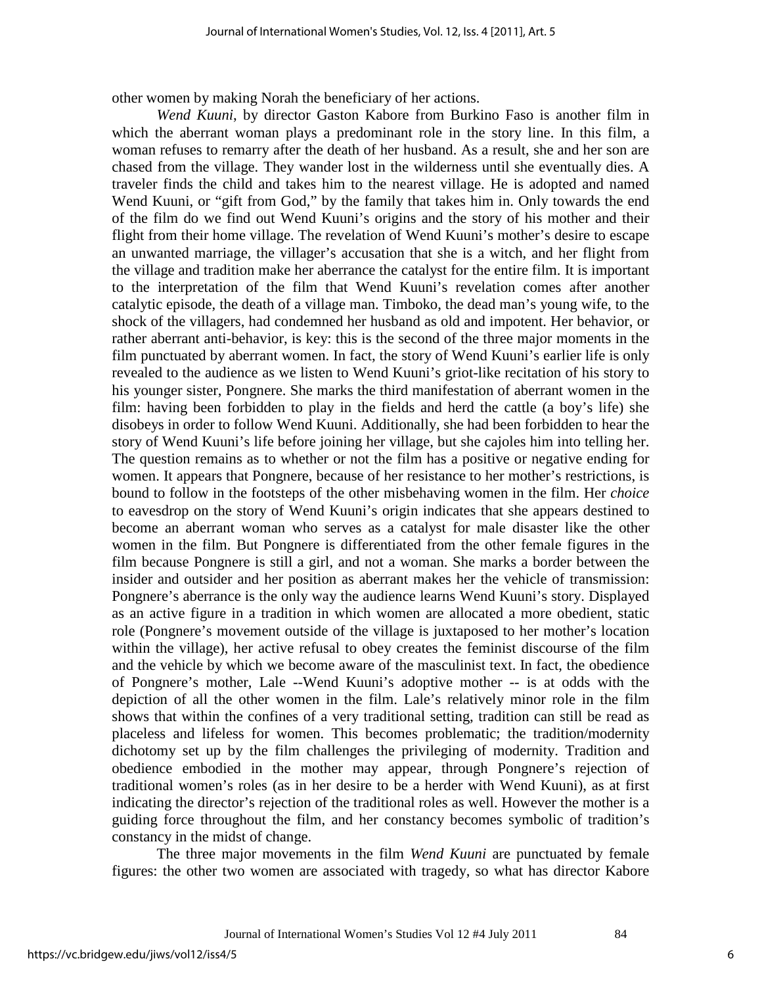other women by making Norah the beneficiary of her actions.

*Wend Kuuni*, by director Gaston Kabore from Burkino Faso is another film in which the aberrant woman plays a predominant role in the story line. In this film, a woman refuses to remarry after the death of her husband. As a result, she and her son are chased from the village. They wander lost in the wilderness until she eventually dies. A traveler finds the child and takes him to the nearest village. He is adopted and named Wend Kuuni, or "gift from God," by the family that takes him in. Only towards the end of the film do we find out Wend Kuuni's origins and the story of his mother and their flight from their home village. The revelation of Wend Kuuni's mother's desire to escape an unwanted marriage, the villager's accusation that she is a witch, and her flight from the village and tradition make her aberrance the catalyst for the entire film. It is important to the interpretation of the film that Wend Kuuni's revelation comes after another catalytic episode, the death of a village man. Timboko, the dead man's young wife, to the shock of the villagers, had condemned her husband as old and impotent. Her behavior, or rather aberrant anti-behavior, is key: this is the second of the three major moments in the film punctuated by aberrant women. In fact, the story of Wend Kuuni's earlier life is only revealed to the audience as we listen to Wend Kuuni's griot-like recitation of his story to his younger sister, Pongnere. She marks the third manifestation of aberrant women in the film: having been forbidden to play in the fields and herd the cattle (a boy's life) she disobeys in order to follow Wend Kuuni. Additionally, she had been forbidden to hear the story of Wend Kuuni's life before joining her village, but she cajoles him into telling her. The question remains as to whether or not the film has a positive or negative ending for women. It appears that Pongnere, because of her resistance to her mother's restrictions, is bound to follow in the footsteps of the other misbehaving women in the film. Her *choice* to eavesdrop on the story of Wend Kuuni's origin indicates that she appears destined to become an aberrant woman who serves as a catalyst for male disaster like the other women in the film. But Pongnere is differentiated from the other female figures in the film because Pongnere is still a girl, and not a woman. She marks a border between the insider and outsider and her position as aberrant makes her the vehicle of transmission: Pongnere's aberrance is the only way the audience learns Wend Kuuni's story. Displayed as an active figure in a tradition in which women are allocated a more obedient, static role (Pongnere's movement outside of the village is juxtaposed to her mother's location within the village), her active refusal to obey creates the feminist discourse of the film and the vehicle by which we become aware of the masculinist text. In fact, the obedience of Pongnere's mother, Lale --Wend Kuuni's adoptive mother -- is at odds with the depiction of all the other women in the film. Lale's relatively minor role in the film shows that within the confines of a very traditional setting, tradition can still be read as placeless and lifeless for women. This becomes problematic; the tradition/modernity dichotomy set up by the film challenges the privileging of modernity. Tradition and obedience embodied in the mother may appear, through Pongnere's rejection of traditional women's roles (as in her desire to be a herder with Wend Kuuni), as at first indicating the director's rejection of the traditional roles as well. However the mother is a guiding force throughout the film, and her constancy becomes symbolic of tradition's constancy in the midst of change.

The three major movements in the film *Wend Kuuni* are punctuated by female figures: the other two women are associated with tragedy, so what has director Kabore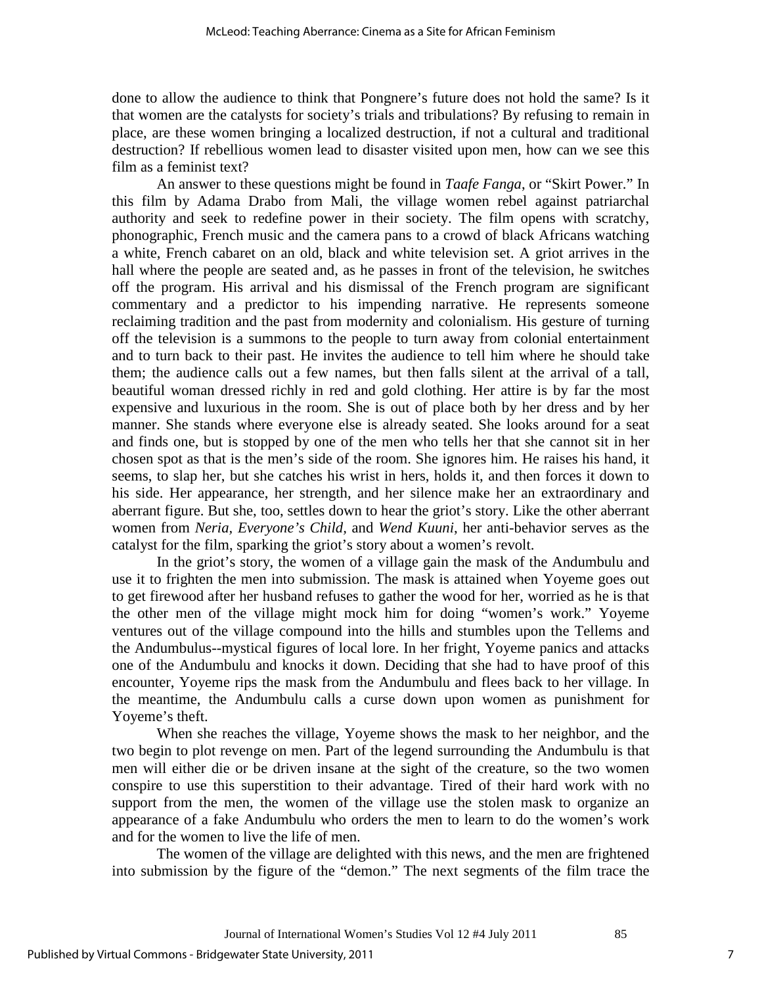done to allow the audience to think that Pongnere's future does not hold the same? Is it that women are the catalysts for society's trials and tribulations? By refusing to remain in place, are these women bringing a localized destruction, if not a cultural and traditional destruction? If rebellious women lead to disaster visited upon men, how can we see this film as a feminist text?

 An answer to these questions might be found in *Taafe Fanga*, or "Skirt Power." In this film by Adama Drabo from Mali, the village women rebel against patriarchal authority and seek to redefine power in their society. The film opens with scratchy, phonographic, French music and the camera pans to a crowd of black Africans watching a white, French cabaret on an old, black and white television set. A griot arrives in the hall where the people are seated and, as he passes in front of the television, he switches off the program. His arrival and his dismissal of the French program are significant commentary and a predictor to his impending narrative. He represents someone reclaiming tradition and the past from modernity and colonialism. His gesture of turning off the television is a summons to the people to turn away from colonial entertainment and to turn back to their past. He invites the audience to tell him where he should take them; the audience calls out a few names, but then falls silent at the arrival of a tall, beautiful woman dressed richly in red and gold clothing. Her attire is by far the most expensive and luxurious in the room. She is out of place both by her dress and by her manner. She stands where everyone else is already seated. She looks around for a seat and finds one, but is stopped by one of the men who tells her that she cannot sit in her chosen spot as that is the men's side of the room. She ignores him. He raises his hand, it seems, to slap her, but she catches his wrist in hers, holds it, and then forces it down to his side. Her appearance, her strength, and her silence make her an extraordinary and aberrant figure. But she, too, settles down to hear the griot's story. Like the other aberrant women from *Neria, Everyone's Child,* and *Wend Kuuni*, her anti-behavior serves as the catalyst for the film, sparking the griot's story about a women's revolt.

In the griot's story, the women of a village gain the mask of the Andumbulu and use it to frighten the men into submission. The mask is attained when Yoyeme goes out to get firewood after her husband refuses to gather the wood for her, worried as he is that the other men of the village might mock him for doing "women's work." Yoyeme ventures out of the village compound into the hills and stumbles upon the Tellems and the Andumbulus--mystical figures of local lore. In her fright, Yoyeme panics and attacks one of the Andumbulu and knocks it down. Deciding that she had to have proof of this encounter, Yoyeme rips the mask from the Andumbulu and flees back to her village. In the meantime, the Andumbulu calls a curse down upon women as punishment for Yoyeme's theft.

When she reaches the village, Yoyeme shows the mask to her neighbor, and the two begin to plot revenge on men. Part of the legend surrounding the Andumbulu is that men will either die or be driven insane at the sight of the creature, so the two women conspire to use this superstition to their advantage. Tired of their hard work with no support from the men, the women of the village use the stolen mask to organize an appearance of a fake Andumbulu who orders the men to learn to do the women's work and for the women to live the life of men.

 The women of the village are delighted with this news, and the men are frightened into submission by the figure of the "demon." The next segments of the film trace the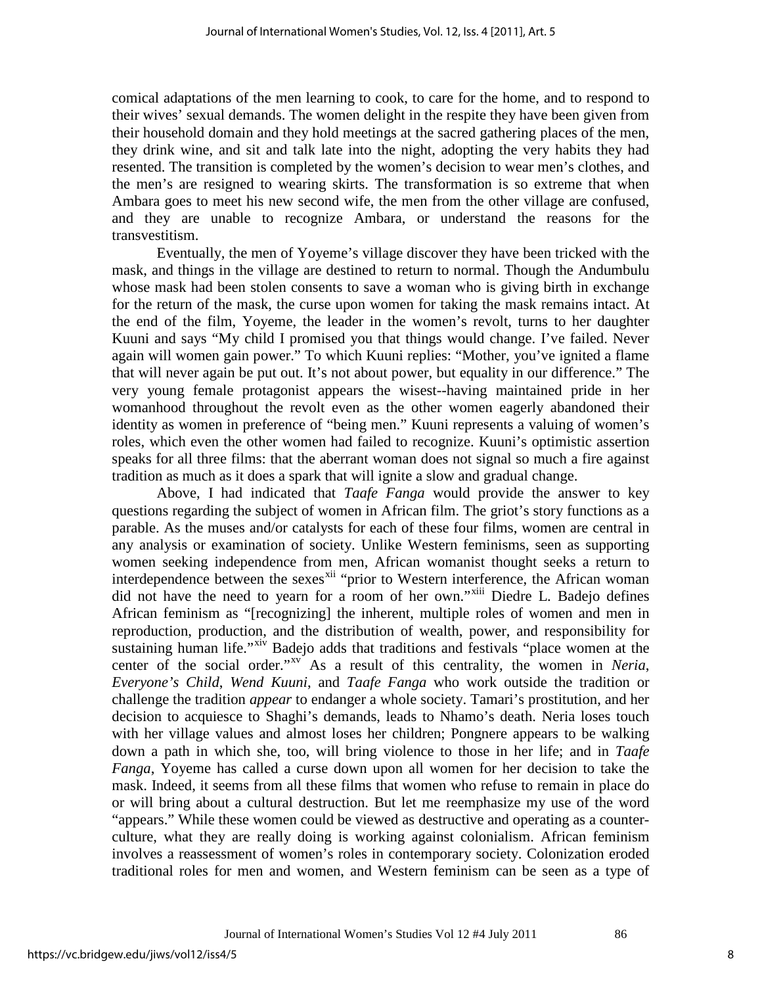comical adaptations of the men learning to cook, to care for the home, and to respond to their wives' sexual demands. The women delight in the respite they have been given from their household domain and they hold meetings at the sacred gathering places of the men, they drink wine, and sit and talk late into the night, adopting the very habits they had resented. The transition is completed by the women's decision to wear men's clothes, and the men's are resigned to wearing skirts. The transformation is so extreme that when Ambara goes to meet his new second wife, the men from the other village are confused, and they are unable to recognize Ambara, or understand the reasons for the transvestitism.

Eventually, the men of Yoyeme's village discover they have been tricked with the mask, and things in the village are destined to return to normal. Though the Andumbulu whose mask had been stolen consents to save a woman who is giving birth in exchange for the return of the mask, the curse upon women for taking the mask remains intact. At the end of the film, Yoyeme, the leader in the women's revolt, turns to her daughter Kuuni and says "My child I promised you that things would change. I've failed. Never again will women gain power." To which Kuuni replies: "Mother, you've ignited a flame that will never again be put out. It's not about power, but equality in our difference." The very young female protagonist appears the wisest--having maintained pride in her womanhood throughout the revolt even as the other women eagerly abandoned their identity as women in preference of "being men." Kuuni represents a valuing of women's roles, which even the other women had failed to recognize. Kuuni's optimistic assertion speaks for all three films: that the aberrant woman does not signal so much a fire against tradition as much as it does a spark that will ignite a slow and gradual change.

Above, I had indicated that *Taafe Fanga* would provide the answer to key questions regarding the subject of women in African film. The griot's story functions as a parable. As the muses and/or catalysts for each of these four films, women are central in any analysis or examination of society. Unlike Western feminisms, seen as supporting women seeking independence from men, African womanist thought seeks a return to interdependence between the sexes<sup>[xii](#page-18-1)</sup> "prior to Western interference, the African woman did not have the need to yearn for a room of her own."<sup>[xiii](#page-18-2)</sup> Diedre L. Badejo defines African feminism as "[recognizing] the inherent, multiple roles of women and men in reproduction, production, and the distribution of wealth, power, and responsibility for sustaining human life."<sup>[xiv](#page-18-3)</sup> Badejo adds that traditions and festivals "place women at the center of the social order."<sup>[xv](#page-18-4)</sup> As a result of this centrality, the women in *Neria*, *Everyone's Child*, *Wend Kuuni*, and *Taafe Fanga* who work outside the tradition or challenge the tradition *appear* to endanger a whole society. Tamari's prostitution, and her decision to acquiesce to Shaghi's demands, leads to Nhamo's death. Neria loses touch with her village values and almost loses her children; Pongnere appears to be walking down a path in which she, too, will bring violence to those in her life; and in *Taafe Fanga*, Yoyeme has called a curse down upon all women for her decision to take the mask. Indeed, it seems from all these films that women who refuse to remain in place do or will bring about a cultural destruction. But let me reemphasize my use of the word "appears." While these women could be viewed as destructive and operating as a counterculture, what they are really doing is working against colonialism. African feminism involves a reassessment of women's roles in contemporary society. Colonization eroded traditional roles for men and women, and Western feminism can be seen as a type of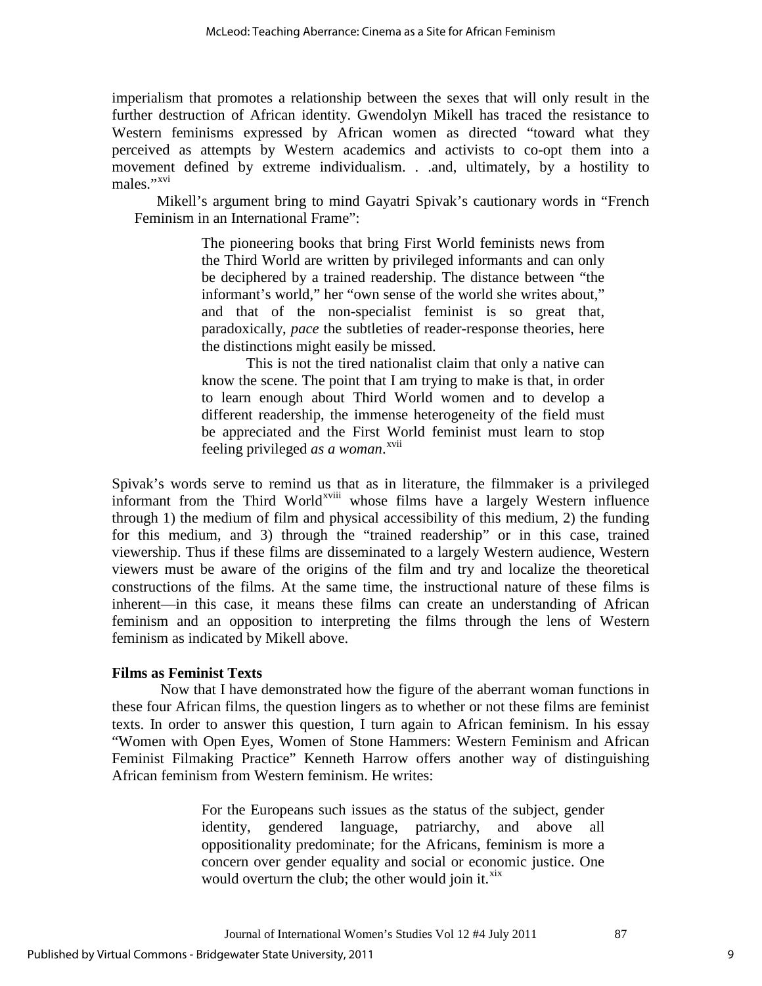imperialism that promotes a relationship between the sexes that will only result in the further destruction of African identity. Gwendolyn Mikell has traced the resistance to Western feminisms expressed by African women as directed "toward what they perceived as attempts by Western academics and activists to co-opt them into a movement defined by extreme individualism. . .and, ultimately, by a hostility to males<sup>"</sup>

Mikell's argument bring to mind Gayatri Spivak's cautionary words in "French Feminism in an International Frame":

> The pioneering books that bring First World feminists news from the Third World are written by privileged informants and can only be deciphered by a trained readership. The distance between "the informant's world," her "own sense of the world she writes about," and that of the non-specialist feminist is so great that, paradoxically, *pace* the subtleties of reader-response theories, here the distinctions might easily be missed.

> This is not the tired nationalist claim that only a native can know the scene. The point that I am trying to make is that, in order to learn enough about Third World women and to develop a different readership, the immense heterogeneity of the field must be appreciated and the First World feminist must learn to stop feeling privileged *as a woman*.<sup>[xvii](#page-18-6)</sup>

Spivak's words serve to remind us [th](#page-18-7)at as in literature, the filmmaker is a privileged informant from the Third World<sup>xviii</sup> whose films have a largely Western influence through 1) the medium of film and physical accessibility of this medium, 2) the funding for this medium, and 3) through the "trained readership" or in this case, trained viewership. Thus if these films are disseminated to a largely Western audience, Western viewers must be aware of the origins of the film and try and localize the theoretical constructions of the films. At the same time, the instructional nature of these films is inherent—in this case, it means these films can create an understanding of African feminism and an opposition to interpreting the films through the lens of Western feminism as indicated by Mikell above.

## **Films as Feminist Texts**

 Now that I have demonstrated how the figure of the aberrant woman functions in these four African films, the question lingers as to whether or not these films are feminist texts. In order to answer this question, I turn again to African feminism. In his essay "Women with Open Eyes, Women of Stone Hammers: Western Feminism and African Feminist Filmaking Practice" Kenneth Harrow offers another way of distinguishing African feminism from Western feminism. He writes:

> For the Europeans such issues as the status of the subject, gender identity, gendered language, patriarchy, and above all oppositionality predominate; for the Africans, feminism is more a concern over gender equality and social or economic justice. One would overturn the club; the other would join it. $x^{xx}$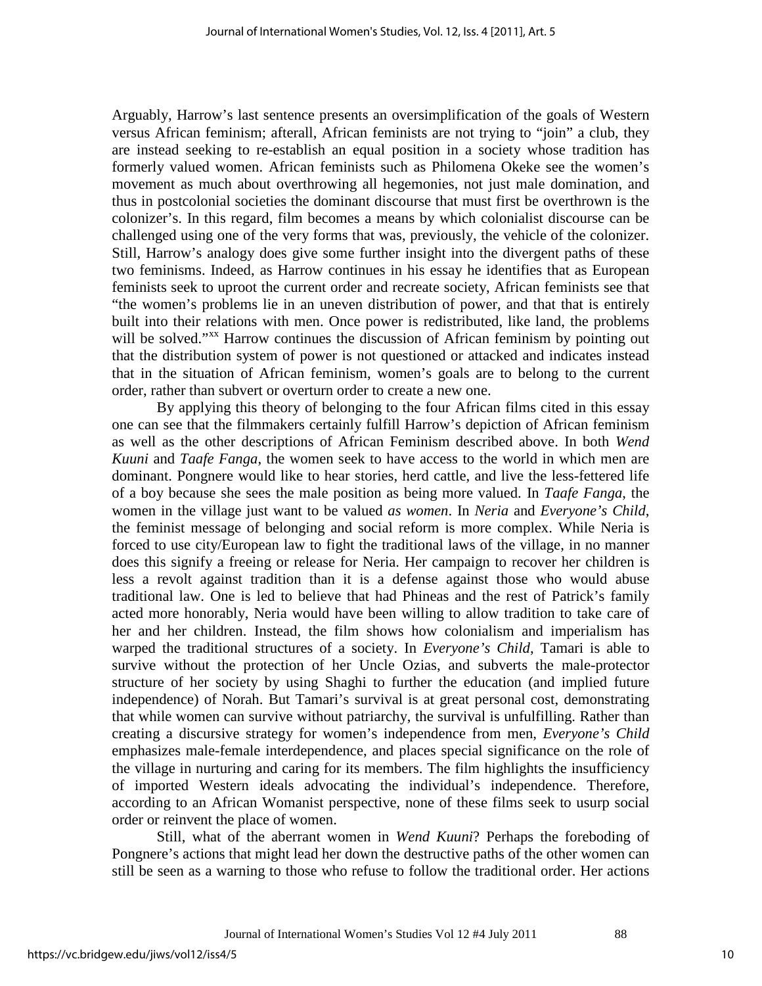Arguably, Harrow's last sentence presents an oversimplification of the goals of Western versus African feminism; afterall, African feminists are not trying to "join" a club, they are instead seeking to re-establish an equal position in a society whose tradition has formerly valued women. African feminists such as Philomena Okeke see the women's movement as much about overthrowing all hegemonies, not just male domination, and thus in postcolonial societies the dominant discourse that must first be overthrown is the colonizer's. In this regard, film becomes a means by which colonialist discourse can be challenged using one of the very forms that was, previously, the vehicle of the colonizer. Still, Harrow's analogy does give some further insight into the divergent paths of these two feminisms. Indeed, as Harrow continues in his essay he identifies that as European feminists seek to uproot the current order and recreate society, African feminists see that "the women's problems lie in an uneven distribution of power, and that that is entirely built into their relations with men. Once power is redistributed, like land, the problems will be solved."<sup>[xx](#page-18-9)</sup> Harrow continues the discussion of African feminism by pointing out that the distribution system of power is not questioned or attacked and indicates instead that in the situation of African feminism, women's goals are to belong to the current order, rather than subvert or overturn order to create a new one.

By applying this theory of belonging to the four African films cited in this essay one can see that the filmmakers certainly fulfill Harrow's depiction of African feminism as well as the other descriptions of African Feminism described above. In both *Wend Kuuni* and *Taafe Fanga*, the women seek to have access to the world in which men are dominant. Pongnere would like to hear stories, herd cattle, and live the less-fettered life of a boy because she sees the male position as being more valued. In *Taafe Fanga*, the women in the village just want to be valued *as women*. In *Neria* and *Everyone's Child*, the feminist message of belonging and social reform is more complex. While Neria is forced to use city/European law to fight the traditional laws of the village, in no manner does this signify a freeing or release for Neria. Her campaign to recover her children is less a revolt against tradition than it is a defense against those who would abuse traditional law. One is led to believe that had Phineas and the rest of Patrick's family acted more honorably, Neria would have been willing to allow tradition to take care of her and her children. Instead, the film shows how colonialism and imperialism has warped the traditional structures of a society. In *Everyone's Child*, Tamari is able to survive without the protection of her Uncle Ozias, and subverts the male-protector structure of her society by using Shaghi to further the education (and implied future independence) of Norah. But Tamari's survival is at great personal cost, demonstrating that while women can survive without patriarchy, the survival is unfulfilling. Rather than creating a discursive strategy for women's independence from men, *Everyone's Child* emphasizes male-female interdependence, and places special significance on the role of the village in nurturing and caring for its members. The film highlights the insufficiency of imported Western ideals advocating the individual's independence. Therefore, according to an African Womanist perspective, none of these films seek to usurp social order or reinvent the place of women.

Still, what of the aberrant women in *Wend Kuuni*? Perhaps the foreboding of Pongnere's actions that might lead her down the destructive paths of the other women can still be seen as a warning to those who refuse to follow the traditional order. Her actions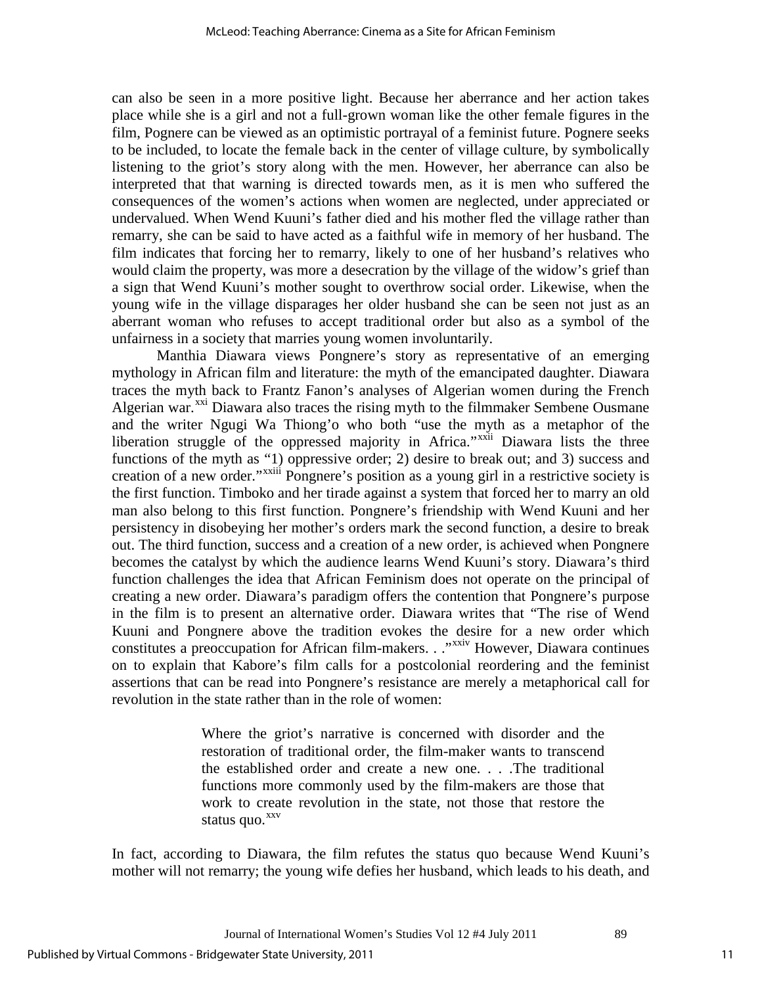can also be seen in a more positive light. Because her aberrance and her action takes place while she is a girl and not a full-grown woman like the other female figures in the film, Pognere can be viewed as an optimistic portrayal of a feminist future. Pognere seeks to be included, to locate the female back in the center of village culture, by symbolically listening to the griot's story along with the men. However, her aberrance can also be interpreted that that warning is directed towards men, as it is men who suffered the consequences of the women's actions when women are neglected, under appreciated or undervalued. When Wend Kuuni's father died and his mother fled the village rather than remarry, she can be said to have acted as a faithful wife in memory of her husband. The film indicates that forcing her to remarry, likely to one of her husband's relatives who would claim the property, was more a desecration by the village of the widow's grief than a sign that Wend Kuuni's mother sought to overthrow social order. Likewise, when the young wife in the village disparages her older husband she can be seen not just as an aberrant woman who refuses to accept traditional order but also as a symbol of the unfairness in a society that marries young women involuntarily.

Manthia Diawara views Pongnere's story as representative of an emerging mythology in African film and literature: the myth of the emancipated daughter. Diawara traces the myth back to Frantz Fanon's analyses of Algerian women during the French Algerian war.<sup>[xxi](#page-18-10)</sup> Diawara also traces the rising myth to the filmmaker Sembene Ousmane creation of a new order."<sup>xxiii</sup> Pongnere's position as a young girl in a restrictive society is and the writer Ngugi Wa Thiong'o who both "use the myth as a metaphor of the liberation struggle of the oppressed majority in Africa."<sup>[xxii](#page-18-11)</sup> Diawara lists the three functions of the myth as "1[\)](#page-18-12) oppressive order; 2) desire to break out; and 3) success and the first function. Timboko and her tirade against a system that forced her to marry an old man also belong to this first function. Pongnere's friendship with Wend Kuuni and her persistency in disobeying her mother's orders mark the second function, a desire to break out. The third function, success and a creation of a new order, is achieved when Pongnere becomes the catalyst by which the audience learns Wend Kuuni's story. Diawara's third function challenges the idea that African Feminism does not operate on the principal of creating a new order. Diawara's paradigm offers the contention that Pongnere's purpose in the film is to present an alternative order. Diawara writes that "The rise of Wend Kuuni and Pongnere above the tradition evokes the desire for a new order which constitutes a preoccupation for African film-makers. . ."<sup>[xxiv](#page-18-13)</sup> However, Diawara continues on to explain that Kabore's film calls for a postcolonial reordering and the feminist assertions that can be read into Pongnere's resistance are merely a metaphorical call for revolution in the state rather than in the role of women:

> Where the griot's narrative is concerned with disorder and the restoration of traditional order, the film-maker wants to transcend the established order and create a new one. . . .The traditional functions more commonly used by the film-makers are those that work to create revolution in the state, not those that restore the status quo.<sup>xxv</sup>

In fact, according to Diawara, the film refutes the status quo because Wend Kuuni's mother will not remarry; the young wife defies her husband, which leads to his death, and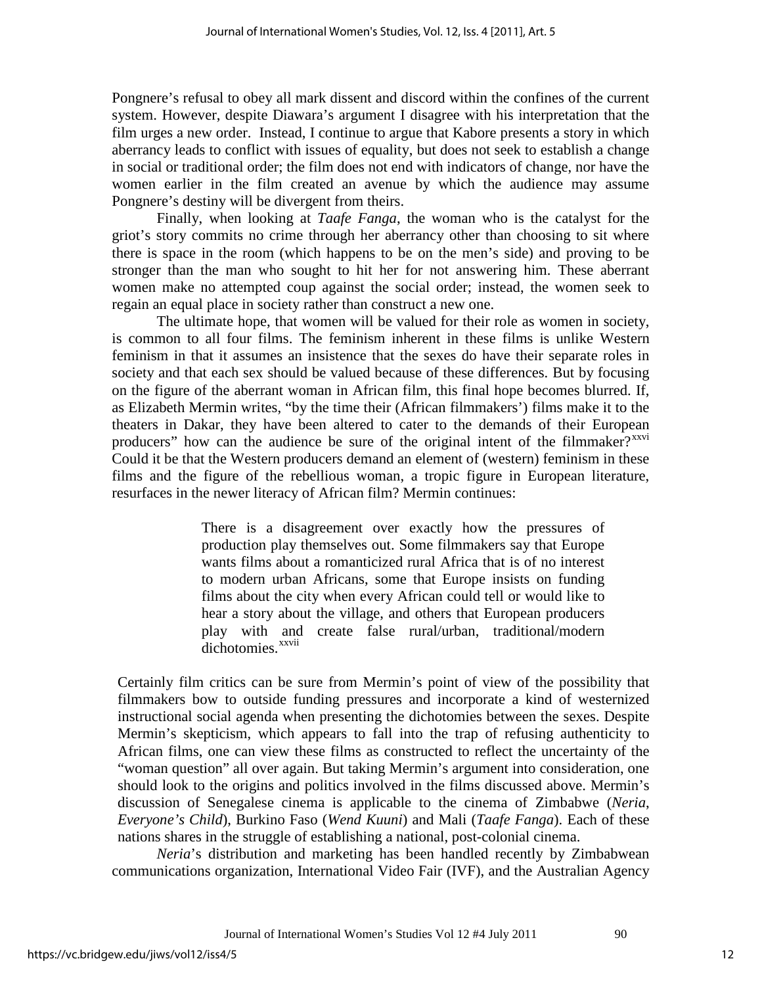Pongnere's refusal to obey all mark dissent and discord within the confines of the current system. However, despite Diawara's argument I disagree with his interpretation that the film urges a new order. Instead, I continue to argue that Kabore presents a story in which aberrancy leads to conflict with issues of equality, but does not seek to establish a change in social or traditional order; the film does not end with indicators of change, nor have the women earlier in the film created an avenue by which the audience may assume Pongnere's destiny will be divergent from theirs.

Finally, when looking at *Taafe Fanga*, the woman who is the catalyst for the griot's story commits no crime through her aberrancy other than choosing to sit where there is space in the room (which happens to be on the men's side) and proving to be stronger than the man who sought to hit her for not answering him. These aberrant women make no attempted coup against the social order; instead, the women seek to regain an equal place in society rather than construct a new one.

The ultimate hope, that women will be valued for their role as women in society, is common to all four films. The feminism inherent in these films is unlike Western feminism in that it assumes an insistence that the sexes do have their separate roles in society and that each sex should be valued because of these differences. But by focusing on the figure of the aberrant woman in African film, this final hope becomes blurred. If, as Elizabeth Mermin writes, "by the time their (African filmmakers') films make it to the theaters in Dakar, they have been altered to cater to the demands of their European producers" how can the audience be sure of the original intent of the filmmaker?<sup>[xxvi](#page-18-15)</sup> Could it be that the Western producers demand an element of (western) feminism in these films and the figure of the rebellious woman, a tropic figure in European literature, resurfaces in the newer literacy of African film? Mermin continues:

> There is a disagreement over exactly how the pressures of production play themselves out. Some filmmakers say that Europe wants films about a romanticized rural Africa that is of no interest to modern urban Africans, some that Europe insists on funding films about the city when every African could tell or would like to hear a story about the village, and others that European producers play with an[d](#page-18-16) create false rural/urban, traditional/modern dichotomies.<sup>xxvii</sup>

Certainly film critics can be sure from Mermin's point of view of the possibility that filmmakers bow to outside funding pressures and incorporate a kind of westernized instructional social agenda when presenting the dichotomies between the sexes. Despite Mermin's skepticism, which appears to fall into the trap of refusing authenticity to African films, one can view these films as constructed to reflect the uncertainty of the "woman question" all over again. But taking Mermin's argument into consideration, one should look to the origins and politics involved in the films discussed above. Mermin's discussion of Senegalese cinema is applicable to the cinema of Zimbabwe (*Neria*, *Everyone's Child*), Burkino Faso (*Wend Kuuni*) and Mali (*Taafe Fanga*). Each of these nations shares in the struggle of establishing a national, post-colonial cinema.

*Neria*'s distribution and marketing has been handled recently by Zimbabwean communications organization, International Video Fair (IVF), and the Australian Agency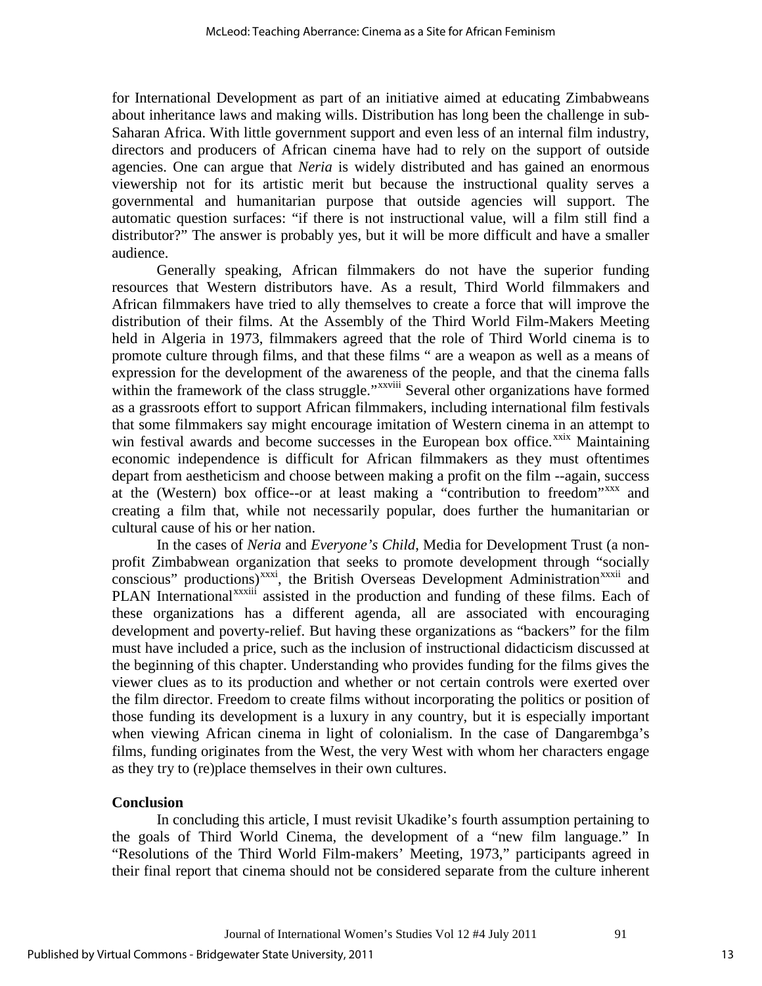for International Development as part of an initiative aimed at educating Zimbabweans about inheritance laws and making wills. Distribution has long been the challenge in sub-Saharan Africa. With little government support and even less of an internal film industry, directors and producers of African cinema have had to rely on the support of outside agencies. One can argue that *Neria* is widely distributed and has gained an enormous viewership not for its artistic merit but because the instructional quality serves a governmental and humanitarian purpose that outside agencies will support. The automatic question surfaces: "if there is not instructional value, will a film still find a distributor?" The answer is probably yes, but it will be more difficult and have a smaller audience.

Generally speaking, African filmmakers do not have the superior funding resources that Western distributors have. As a result, Third World filmmakers and African filmmakers have tried to ally themselves to create a force that will improve the distribution of their films. At the Assembly of the Third World Film-Makers Meeting held in Algeria in 1973, filmmakers agreed that the role of Third World cinema is to promote culture through films, and that these films " are a weapon as well as a means of expression for the development of the awarene[ss](#page-18-17) of the people, and that the cinema falls within the framework of the class struggle."<sup>xxviii</sup> Several other organizations have formed as a grassroots effort to support African filmmakers, including international film festivals that some filmmakers say might encourage imitation of Western cinema in an attempt to win festival awards and become successes in the European box office.<sup>[xxix](#page-18-18)</sup> Maintaining economic independence is difficult for African filmmakers as they must oftentimes depart from aestheticism and choose between making a profit on the film --again, success at the (Western) box office--or at least making a "contribution to freedom"[xxx](#page-18-19) and creating a film that, while not necessarily popular, does further the humanitarian or cultural cause of his or her nation.

In the cases of *Neria* and *Everyone's Child*, Media for Development Trust (a nonprofit Zimbabwean organization that seeks to promote development through "so[ci](#page-18-21)ally conscious" productions[\)](#page-18-22)<sup>[xxxi](#page-18-20)</sup>, the British Overseas Development Administration<sup>xxxii</sup> and<br>DI AN International<sup>xxxiii</sup> assisted in the production and funding of these films. Each of PLAN International<sup>xxxii</sup> assisted in the production and funding of these films. Each of these organizations has a different agenda, all are associated with encouraging development and poverty-relief. But having these organizations as "backers" for the film must have included a price, such as the inclusion of instructional didacticism discussed at the beginning of this chapter. Understanding who provides funding for the films gives the viewer clues as to its production and whether or not certain controls were exerted over the film director. Freedom to create films without incorporating the politics or position of those funding its development is a luxury in any country, but it is especially important when viewing African cinema in light of colonialism. In the case of Dangarembga's films, funding originates from the West, the very West with whom her characters engage as they try to (re)place themselves in their own cultures.

#### **Conclusion**

In concluding this article, I must revisit Ukadike's fourth assumption pertaining to the goals of Third World Cinema, the development of a "new film language." In "Resolutions of the Third World Film-makers' Meeting, 1973," participants agreed in their final report that cinema should not be considered separate from the culture inherent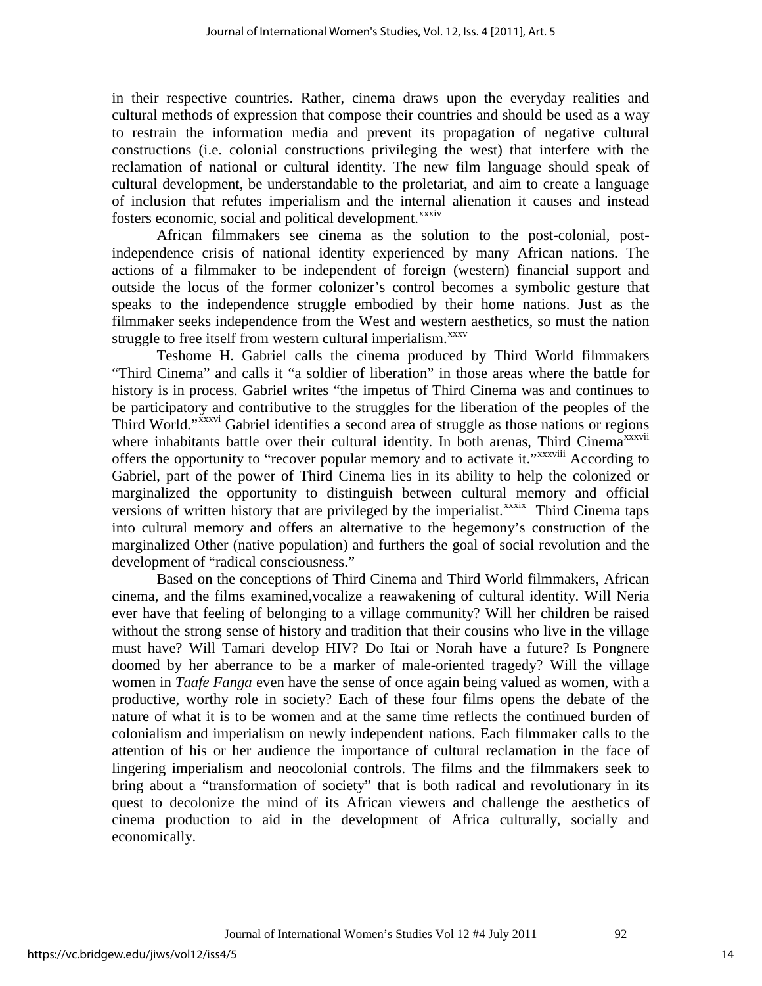in their respective countries. Rather, cinema draws upon the everyday realities and cultural methods of expression that compose their countries and should be used as a way to restrain the information media and prevent its propagation of negative cultural constructions (i.e. colonial constructions privileging the west) that interfere with the reclamation of national or cultural identity. The new film language should speak of cultural development, be understandable to the proletariat, and aim to create a language of inclusion that refutes imperialism and the internal alienation it causes and instead fosters economic, social and political development.<sup>xxxiv</sup>

African filmmakers see cinema as the solution to the post-colonial, postindependence crisis of national identity experienced by many African nations. The actions of a filmmaker to be independent of foreign (western) financial support and outside the locus of the former colonizer's control becomes a symbolic gesture that speaks to the independence struggle embodied by their home nations. Just as the filmmaker seeks independence from the West and western aesthetics, so must the nation struggle to free itself from western cultural imperialism.<sup>[xxxv](#page-18-24)</sup>

Teshome H. Gabriel calls the cinema produced by Third World filmmakers "Third Cinema" and calls it "a soldier of liberation" in those areas where the battle for history is in process. Gabriel writes "the impetus of Third Cinema was and continues to be participatory a[n](#page-18-25)d contributive to the struggles for the liberation of the peoples of the ThirdWorld."<sup>xxxvi</sup> Gabriel identifies a second area of struggle as those nations or regions where inhabitants battle over their cultural i[d](#page-18-8)entity. In both arenas, Third Cinema<sup>xxxvii</sup> offers the opportunity to "recover popular memory and to activate it." XXXVIII According to versions of written history that are privileged by the imperialist.<sup>xxxix</sup> [T](#page-18-27)hird Cinema taps Gabriel, part of the power of Third Cinema lies in its ability to help the colonized or marginalized the opportunity to distinguish between cultural memory and official into cultural memory and offers an alternative to the hegemony's construction of the marginalized Other (native population) and furthers the goal of social revolution and the development of "radical consciousness."

Based on the conceptions of Third Cinema and Third World filmmakers, African cinema, and the films examined,vocalize a reawakening of cultural identity. Will Neria ever have that feeling of belonging to a village community? Will her children be raised without the strong sense of history and tradition that their cousins who live in the village must have? Will Tamari develop HIV? Do Itai or Norah have a future? Is Pongnere doomed by her aberrance to be a marker of male-oriented tragedy? Will the village women in *Taafe Fanga* even have the sense of once again being valued as women, with a productive, worthy role in society? Each of these four films opens the debate of the nature of what it is to be women and at the same time reflects the continued burden of colonialism and imperialism on newly independent nations. Each filmmaker calls to the attention of his or her audience the importance of cultural reclamation in the face of lingering imperialism and neocolonial controls. The films and the filmmakers seek to bring about a "transformation of society" that is both radical and revolutionary in its quest to decolonize the mind of its African viewers and challenge the aesthetics of cinema production to aid in the development of Africa culturally, socially and economically.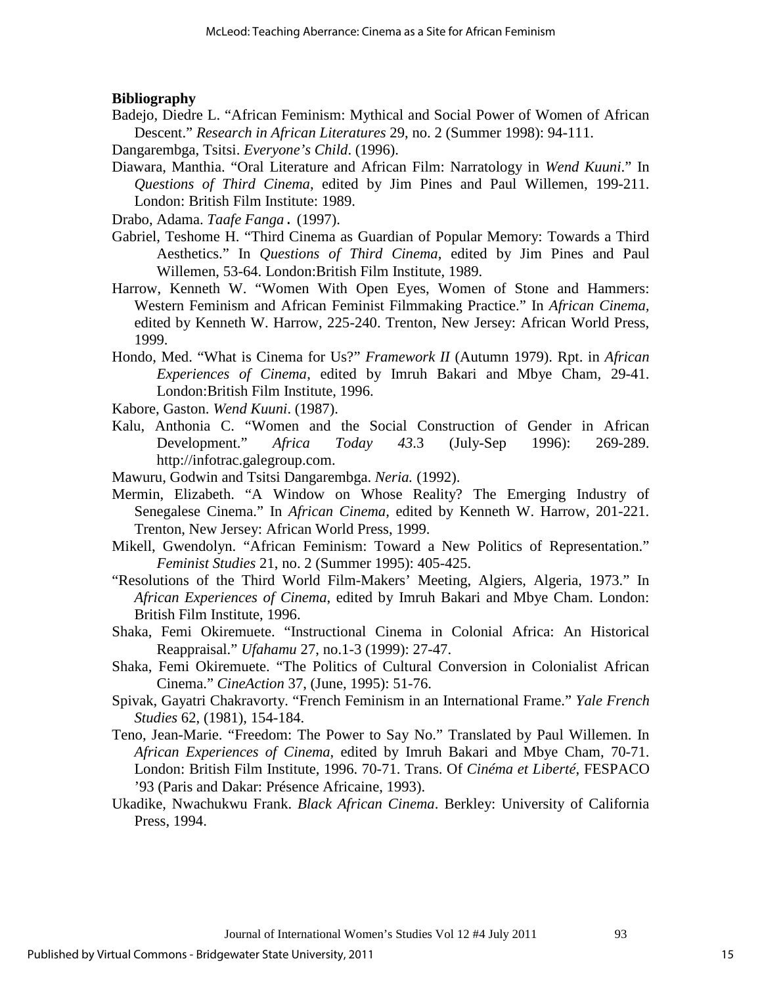### **Bibliography**

- Badejo, Diedre L. "African Feminism: Mythical and Social Power of Women of African Descent." *Research in African Literatures* 29, no. 2 (Summer 1998): 94-111.
- Dangarembga, Tsitsi. *Everyone's Child*. (1996).
- Diawara, Manthia. "Oral Literature and African Film: Narratology in *Wend Kuuni*." In *Questions of Third Cinema*, edited by Jim Pines and Paul Willemen, 199-211. London: British Film Institute: 1989.

Drabo, Adama. *Taafe Fanga*. (1997).

- Gabriel, Teshome H. "Third Cinema as Guardian of Popular Memory: Towards a Third Aesthetics." In *Questions of Third Cinema*, edited by Jim Pines and Paul Willemen, 53-64. London:British Film Institute, 1989.
- Harrow, Kenneth W. "Women With Open Eyes, Women of Stone and Hammers: Western Feminism and African Feminist Filmmaking Practice." In *African Cinema,*  edited by Kenneth W. Harrow, 225-240. Trenton, New Jersey: African World Press, 1999.
- Hondo, Med. "What is Cinema for Us?" *Framework II* (Autumn 1979). Rpt. in *African Experiences of Cinema*, edited by Imruh Bakari and Mbye Cham, 29-41. London:British Film Institute, 1996.
- Kabore, Gaston. *Wend Kuuni*. (1987).
- Kalu, Anthonia C. "Women and the Social Construction of Gender in African Development." *Africa Today 43*.3 (July-Sep 1996): 269-289. http://infotrac.galegroup.com.
- Mawuru, Godwin and Tsitsi Dangarembga. *Neria.* (1992).
- Mermin, Elizabeth. "A Window on Whose Reality? The Emerging Industry of Senegalese Cinema." In *African Cinema,* edited by Kenneth W. Harrow, 201-221. Trenton, New Jersey: African World Press, 1999.
- Mikell, Gwendolyn. "African Feminism: Toward a New Politics of Representation." *Feminist Studies* 21, no. 2 (Summer 1995): 405-425.
- "Resolutions of the Third World Film-Makers' Meeting, Algiers, Algeria, 1973." In *African Experiences of Cinema*, edited by Imruh Bakari and Mbye Cham. London: British Film Institute, 1996.
- Shaka, Femi Okiremuete. "Instructional Cinema in Colonial Africa: An Historical Reappraisal." *Ufahamu* 27, no.1-3 (1999): 27-47.
- Shaka, Femi Okiremuete. "The Politics of Cultural Conversion in Colonialist African Cinema." *CineAction* 37, (June, 1995): 51-76.
- Spivak, Gayatri Chakravorty. "French Feminism in an International Frame." *Yale French Studies* 62, (1981), 154-184.
- Teno, Jean-Marie. "Freedom: The Power to Say No." Translated by Paul Willemen. In *African Experiences of Cinema*, edited by Imruh Bakari and Mbye Cham, 70-71. London: British Film Institute, 1996. 70-71. Trans. Of *Cinéma et Liberté*, FESPACO '93 (Paris and Dakar: Présence Africaine, 1993).
- Ukadike, Nwachukwu Frank. *Black African Cinema*. Berkley: University of California Press, 1994.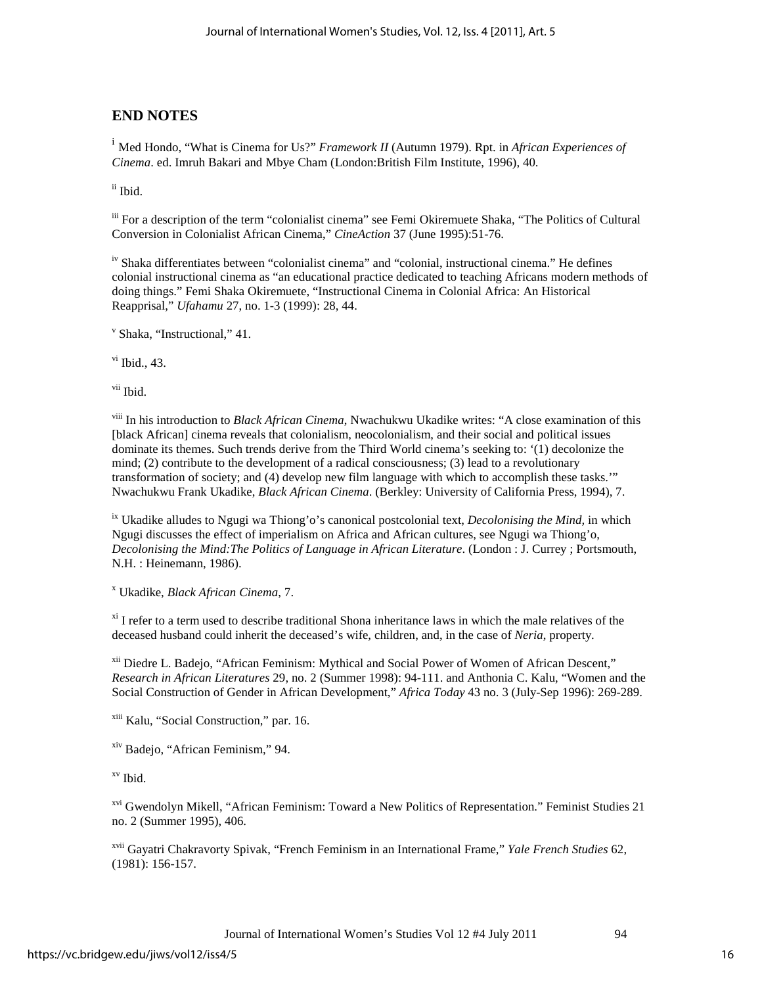## **END NOTES**

<span id="page-16-0"></span><sup>i</sup> Med Hondo, "What is Cinema for Us?" *Framework II* (Autumn 1979). Rpt. in *African Experiences of Cinema*. ed. Imruh Bakari and Mbye Cham (London:British Film Institute, 1996), 40.

<span id="page-16-1"></span>ii Ibid.

<span id="page-16-2"></span>iii For a description of the term "colonialist cinema" see Femi Okiremuete Shaka, "The Politics of Cultural Conversion in Colonialist African Cinema," *CineAction* 37 (June 1995):51-76.

<span id="page-16-3"></span>iv Shaka differentiates between "colonialist cinema" and "colonial, instructional cinema." He defines colonial instructional cinema as "an educational practice dedicated to teaching Africans modern methods of doing things." Femi Shaka Okiremuete, "Instructional Cinema in Colonial Africa: An Historical Reapprisal," *Ufahamu* 27, no. 1-3 (1999): 28, 44.

<span id="page-16-4"></span><sup>v</sup> Shaka, "Instructional," 41.

<span id="page-16-5"></span> $v$ <sup>i</sup> Ibid., 43.

vii Ibid.

viii In his introduction to *Black African Cinema*, Nwachukwu Ukadike writes: "A close examination of this [black African] cinema reveals that colonialism, neocolonialism, and their social and political issues dominate its themes. Such trends derive from the Third World cinema's seeking to: '(1) decolonize the mind; (2) contribute to the development of a radical consciousness; (3) lead to a revolutionary transformation of society; and (4) develop new film language with which to accomplish these tasks.'" Nwachukwu Frank Ukadike, *Black African Cinema*. (Berkley: University of California Press, 1994), 7.

ix Ukadike alludes to Ngugi wa Thiong'o's canonical postcolonial text, *Decolonising the Mind,* in which Ngugi discusses the effect of imperialism on Africa and African cultures, see Ngugi wa Thiong'o, *Decolonising the Mind:The Politics of Language in African Literature*. (London : J. Currey ; Portsmouth, N.H. : Heinemann, 1986).

<sup>x</sup> Ukadike, *Black African Cinema*, 7.

 $x_i$  I refer to a term used to describe traditional Shona inheritance laws in which the male relatives of the deceased husband could inherit the deceased's wife, children, and, in the case of *Neria*, property.

xii Diedre L. Badejo, "African Feminism: Mythical and Social Power of Women of African Descent," *Research in African Literatures* 29, no. 2 (Summer 1998): 94-111. and Anthonia C. Kalu, "Women and the Social Construction of Gender in African Development," *Africa Today* 43 no. 3 (July-Sep 1996): 269-289.

xiii Kalu, "Social Construction," par. 16.

xiv Badejo, "African Feminism," 94.

xv Ibid.

<sup>xvi</sup> Gwendolyn Mikell, "African Feminism: Toward a New Politics of Representation." Feminist Studies 21 no. 2 (Summer 1995), 406.

xvii Gayatri Chakravorty Spivak, "French Feminism in an International Frame," *Yale French Studies* 62, (1981): 156-157.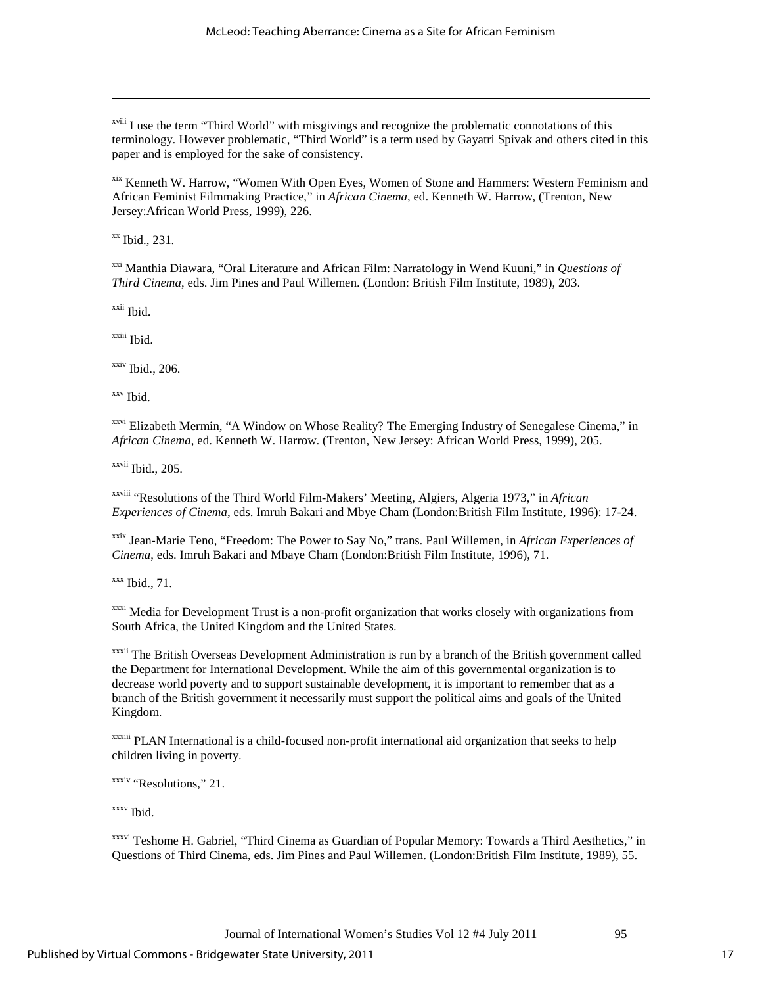<sup>xviii</sup> I use the term "Third World" with misgivings and recognize the problematic connotations of this terminology. However problematic, "Third World" is a term used by Gayatri Spivak and others cited in this paper and is employed for the sake of consistency.

xix Kenneth W. Harrow, "Women With Open Eyes, Women of Stone and Hammers: Western Feminism and African Feminist Filmmaking Practice," in *African Cinema*, ed. Kenneth W. Harrow, (Trenton, New Jersey:African World Press, 1999), 226.

xx Ibid., 231.

 $\overline{a}$ 

xxi Manthia Diawara, "Oral Literature and African Film: Narratology in Wend Kuuni," in *Questions of Third Cinema*, eds. Jim Pines and Paul Willemen. (London: British Film Institute, 1989), 203.

xxii Ibid.

xxiii Ibid.

 $xxiv$  Ibid., 206.

<span id="page-17-0"></span>xxv Ibid.

<span id="page-17-1"></span><sup>xxvi</sup> Elizabeth Mermin, "A Window on Whose Reality? The Emerging Industry of Senegalese Cinema," in *African Cinema*, ed. Kenneth W. Harrow. (Trenton, New Jersey: African World Press, 1999), 205.

xxvii Ibid., 205.

xxviii "Resolutions of the Third World Film-Makers' Meeting, Algiers, Algeria 1973," in *African Experiences of Cinema*, eds. Imruh Bakari and Mbye Cham (London:British Film Institute, 1996): 17-24.

<span id="page-17-2"></span>xxix Jean-Marie Teno, "Freedom: The Power to Say No," trans. Paul Willemen, in *African Experiences of Cinema*, eds. Imruh Bakari and Mbaye Cham (London:British Film Institute, 1996), 71.

<span id="page-17-3"></span> $xxx$  Ibid., 71.

<sup>xxxi</sup> Media for Development Trust is a non-profit organization that works closely with organizations from South Africa, the United Kingdom and the United States.

<sup>xxxii</sup> The British Overseas Development Administration is run by a branch of the British government called the Department for International Development. While the aim of this governmental organization is to decrease world poverty and to support sustainable development, it is important to remember that as a branch of the British government it necessarily must support the political aims and goals of the United Kingdom.

xxxiii PLAN International is a child-focused non-profit international aid organization that seeks to help children living in poverty.

xxxiv "Resolutions," 21.

xxxv Ibid.

xxxvi Teshome H. Gabriel, "Third Cinema as Guardian of Popular Memory: Towards a Third Aesthetics," in Questions of Third Cinema, eds. Jim Pines and Paul Willemen. (London:British Film Institute, 1989), 55.